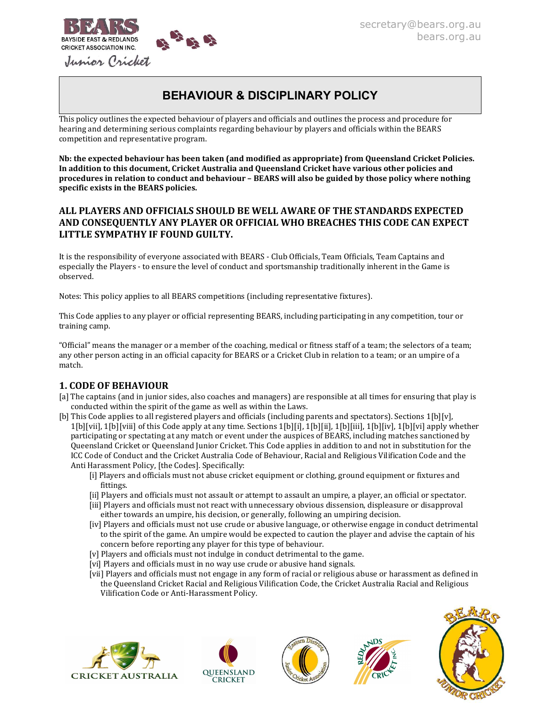

# BEHAVIOUR & DISCIPLINARY POLICY

This policy outlines the expected behaviour of players and officials and outlines the process and procedure for hearing and determining serious complaints regarding behaviour by players and officials within the BEARS competition and representative program.

Nb: the expected behaviour has been taken (and modified as appropriate) from Queensland Cricket Policies. In addition to this document, Cricket Australia and Queensland Cricket have various other policies and procedures in relation to conduct and behaviour – BEARS will also be guided by those policy where nothing specific exists in the BEARS policies.

### ALL PLAYERS AND OFFICIALS SHOULD BE WELL AWARE OF THE STANDARDS EXPECTED AND CONSEQUENTLY ANY PLAYER OR OFFICIAL WHO BREACHES THIS CODE CAN EXPECT LITTLE SYMPATHY IF FOUND GUILTY.

It is the responsibility of everyone associated with BEARS - Club Officials, Team Officials, Team Captains and especially the Players - to ensure the level of conduct and sportsmanship traditionally inherent in the Game is observed.

Notes: This policy applies to all BEARS competitions (including representative fixtures).

This Code applies to any player or official representing BEARS, including participating in any competition, tour or training camp.

"Official" means the manager or a member of the coaching, medical or fitness staff of a team; the selectors of a team; any other person acting in an official capacity for BEARS or a Cricket Club in relation to a team; or an umpire of a match.

### 1. CODE OF BEHAVIOUR

- [a] The captains (and in junior sides, also coaches and managers) are responsible at all times for ensuring that play is conducted within the spirit of the game as well as within the Laws.
- [b] This Code applies to all registered players and officials (including parents and spectators). Sections 1[b][v],  $1[b][vii], 1[b][viii]$  of this Code apply at any time. Sections  $1[b][i], 1[b][ii], 1[b][iii], 1[b][iv], 1[b][vi]$  apply whether participating or spectating at any match or event under the auspices of BEARS, including matches sanctioned by Queensland Cricket or Queensland Junior Cricket. This Code applies in addition to and not in substitution for the ICC Code of Conduct and the Cricket Australia Code of Behaviour, Racial and Religious Vilification Code and the Anti Harassment Policy, [the Codes]. Specifically:
	- [i] Players and officials must not abuse cricket equipment or clothing, ground equipment or fixtures and fittings.
	- [ii] Players and officials must not assault or attempt to assault an umpire, a player, an official or spectator.
	- [iii] Players and officials must not react with unnecessary obvious dissension, displeasure or disapproval either towards an umpire, his decision, or generally, following an umpiring decision.
	- [iv] Players and officials must not use crude or abusive language, or otherwise engage in conduct detrimental to the spirit of the game. An umpire would be expected to caution the player and advise the captain of his concern before reporting any player for this type of behaviour.
	- [v] Players and officials must not indulge in conduct detrimental to the game.
	- [vi] Players and officials must in no way use crude or abusive hand signals.
	- [vii] Players and officials must not engage in any form of racial or religious abuse or harassment as defined in the Queensland Cricket Racial and Religious Vilification Code, the Cricket Australia Racial and Religious Vilification Code or Anti-Harassment Policy.









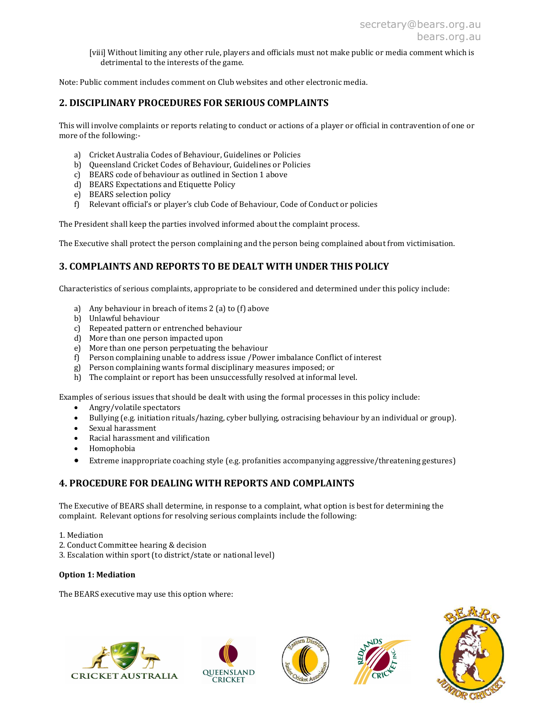[viii] Without limiting any other rule, players and officials must not make public or media comment which is detrimental to the interests of the game.

Note: Public comment includes comment on Club websites and other electronic media.

### 2. DISCIPLINARY PROCEDURES FOR SERIOUS COMPLAINTS

This will involve complaints or reports relating to conduct or actions of a player or official in contravention of one or more of the following:-

- a) Cricket Australia Codes of Behaviour, Guidelines or Policies
- b) Queensland Cricket Codes of Behaviour, Guidelines or Policies
- c) BEARS code of behaviour as outlined in Section 1 above
- d) BEARS Expectations and Etiquette Policy
- e) BEARS selection policy
- f) Relevant official's or player's club Code of Behaviour, Code of Conduct or policies

The President shall keep the parties involved informed about the complaint process.

The Executive shall protect the person complaining and the person being complained about from victimisation.

### 3. COMPLAINTS AND REPORTS TO BE DEALT WITH UNDER THIS POLICY

Characteristics of serious complaints, appropriate to be considered and determined under this policy include:

- a) Any behaviour in breach of items 2 (a) to (f) above
- b) Unlawful behaviour
- c) Repeated pattern or entrenched behaviour
- d) More than one person impacted upon
- e) More than one person perpetuating the behaviour
- f) Person complaining unable to address issue /Power imbalance Conflict of interest
- g) Person complaining wants formal disciplinary measures imposed; or
- h) The complaint or report has been unsuccessfully resolved at informal level.

Examples of serious issues that should be dealt with using the formal processes in this policy include:

- Angry/volatile spectators
- Bullying (e.g. initiation rituals/hazing, cyber bullying, ostracising behaviour by an individual or group).
- Sexual harassment
- Racial harassment and vilification
- Homophobia
- Extreme inappropriate coaching style (e.g. profanities accompanying aggressive/threatening gestures)

### 4. PROCEDURE FOR DEALING WITH REPORTS AND COMPLAINTS

The Executive of BEARS shall determine, in response to a complaint, what option is best for determining the complaint. Relevant options for resolving serious complaints include the following:

- 1. Mediation
- 2. Conduct Committee hearing & decision
- 3. Escalation within sport (to district/state or national level)

#### Option 1: Mediation

The BEARS executive may use this option where:









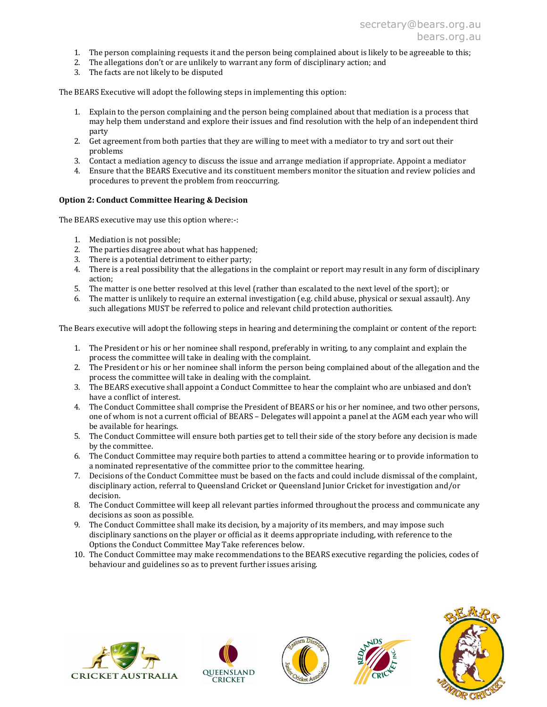- 1. The person complaining requests it and the person being complained about is likely to be agreeable to this;
- 2. The allegations don't or are unlikely to warrant any form of disciplinary action; and
- 3. The facts are not likely to be disputed

The BEARS Executive will adopt the following steps in implementing this option:

- 1. Explain to the person complaining and the person being complained about that mediation is a process that may help them understand and explore their issues and find resolution with the help of an independent third party
- 2. Get agreement from both parties that they are willing to meet with a mediator to try and sort out their problems
- 3. Contact a mediation agency to discuss the issue and arrange mediation if appropriate. Appoint a mediator
- 4. Ensure that the BEARS Executive and its constituent members monitor the situation and review policies and procedures to prevent the problem from reoccurring.

#### Option 2: Conduct Committee Hearing & Decision

The BEARS executive may use this option where:-:

- 1. Mediation is not possible;
- 2. The parties disagree about what has happened;
- 3. There is a potential detriment to either party;
- 4. There is a real possibility that the allegations in the complaint or report may result in any form of disciplinary action;
- 5. The matter is one better resolved at this level (rather than escalated to the next level of the sport); or
- 6. The matter is unlikely to require an external investigation (e.g. child abuse, physical or sexual assault). Any such allegations MUST be referred to police and relevant child protection authorities.

The Bears executive will adopt the following steps in hearing and determining the complaint or content of the report:

- 1. The President or his or her nominee shall respond, preferably in writing, to any complaint and explain the process the committee will take in dealing with the complaint.
- 2. The President or his or her nominee shall inform the person being complained about of the allegation and the process the committee will take in dealing with the complaint.
- 3. The BEARS executive shall appoint a Conduct Committee to hear the complaint who are unbiased and don't have a conflict of interest.
- 4. The Conduct Committee shall comprise the President of BEARS or his or her nominee, and two other persons, one of whom is not a current official of BEARS – Delegates will appoint a panel at the AGM each year who will be available for hearings.
- 5. The Conduct Committee will ensure both parties get to tell their side of the story before any decision is made by the committee.
- 6. The Conduct Committee may require both parties to attend a committee hearing or to provide information to a nominated representative of the committee prior to the committee hearing.
- 7. Decisions of the Conduct Committee must be based on the facts and could include dismissal of the complaint, disciplinary action, referral to Queensland Cricket or Queensland Junior Cricket for investigation and/or decision.
- 8. The Conduct Committee will keep all relevant parties informed throughout the process and communicate any decisions as soon as possible.
- 9. The Conduct Committee shall make its decision, by a majority of its members, and may impose such disciplinary sanctions on the player or official as it deems appropriate including, with reference to the Options the Conduct Committee May Take references below.
- 10. The Conduct Committee may make recommendations to the BEARS executive regarding the policies, codes of behaviour and guidelines so as to prevent further issues arising.









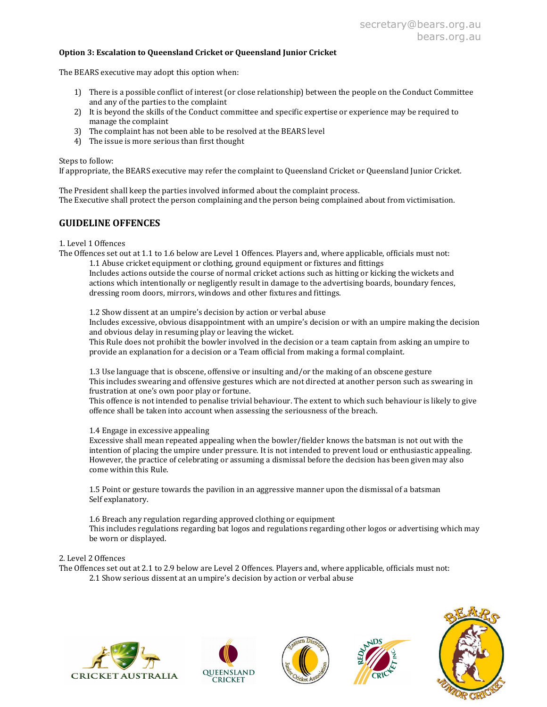#### Option 3: Escalation to Queensland Cricket or Queensland Junior Cricket

The BEARS executive may adopt this option when:

- 1) There is a possible conflict of interest (or close relationship) between the people on the Conduct Committee and any of the parties to the complaint
- 2) It is beyond the skills of the Conduct committee and specific expertise or experience may be required to manage the complaint
- 3) The complaint has not been able to be resolved at the BEARS level
- 4) The issue is more serious than first thought

Steps to follow:

If appropriate, the BEARS executive may refer the complaint to Queensland Cricket or Queensland Junior Cricket.

The President shall keep the parties involved informed about the complaint process. The Executive shall protect the person complaining and the person being complained about from victimisation.

### GUIDELINE OFFENCES

1. Level 1 Offences

The Offences set out at 1.1 to 1.6 below are Level 1 Offences. Players and, where applicable, officials must not: 1.1 Abuse cricket equipment or clothing, ground equipment or fixtures and fittings

Includes actions outside the course of normal cricket actions such as hitting or kicking the wickets and actions which intentionally or negligently result in damage to the advertising boards, boundary fences, dressing room doors, mirrors, windows and other fixtures and fittings.

1.2 Show dissent at an umpire's decision by action or verbal abuse Includes excessive, obvious disappointment with an umpire's decision or with an umpire making the decision and obvious delay in resuming play or leaving the wicket.

This Rule does not prohibit the bowler involved in the decision or a team captain from asking an umpire to provide an explanation for a decision or a Team official from making a formal complaint.

1.3 Use language that is obscene, offensive or insulting and/or the making of an obscene gesture This includes swearing and offensive gestures which are not directed at another person such as swearing in frustration at one's own poor play or fortune.

This offence is not intended to penalise trivial behaviour. The extent to which such behaviour is likely to give offence shall be taken into account when assessing the seriousness of the breach.

1.4 Engage in excessive appealing

Excessive shall mean repeated appealing when the bowler/fielder knows the batsman is not out with the intention of placing the umpire under pressure. It is not intended to prevent loud or enthusiastic appealing. However, the practice of celebrating or assuming a dismissal before the decision has been given may also come within this Rule.

1.5 Point or gesture towards the pavilion in an aggressive manner upon the dismissal of a batsman Self explanatory.

1.6 Breach any regulation regarding approved clothing or equipment This includes regulations regarding bat logos and regulations regarding other logos or advertising which may be worn or displayed.

#### 2. Level 2 Offences

The Offences set out at 2.1 to 2.9 below are Level 2 Offences. Players and, where applicable, officials must not: 2.1 Show serious dissent at an umpire's decision by action or verbal abuse









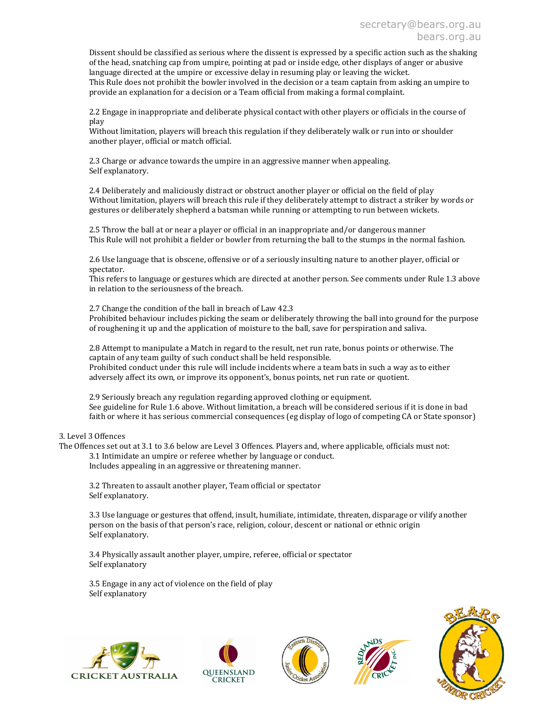Dissent should be classified as serious where the dissent is expressed by a specific action such as the shaking of the head, snatching cap from umpire, pointing at pad or inside edge, other displays of anger or abusive language directed at the umpire or excessive delay in resuming play or leaving the wicket. This Rule does not prohibit the bowler involved in the decision or a team captain from asking an umpire to provide an explanation for a decision or a Team official from making a formal complaint.

2.2 Engage in inappropriate and deliberate physical contact with other players or officials in the course of play

Without limitation, players will breach this regulation if they deliberately walk or run into or shoulder another player, official or match official.

2.3 Charge or advance towards the umpire in an aggressive manner when appealing. Self explanatory.

2.4 Deliberately and maliciously distract or obstruct another player or official on the field of play Without limitation, players will breach this rule if they deliberately attempt to distract a striker by words or gestures or deliberately shepherd a batsman while running or attempting to run between wickets.

2.5 Throw the ball at or near a player or official in an inappropriate and/or dangerous manner This Rule will not prohibit a fielder or bowler from returning the ball to the stumps in the normal fashion.

2.6 Use language that is obscene, offensive or of a seriously insulting nature to another player, official or spectator.

This refers to language or gestures which are directed at another person. See comments under Rule 1.3 above in relation to the seriousness of the breach.

2.7 Change the condition of the ball in breach of Law 42.3

Prohibited behaviour includes picking the seam or deliberately throwing the ball into ground for the purpose of roughening it up and the application of moisture to the ball, save for perspiration and saliva.

2.8 Attempt to manipulate a Match in regard to the result, net run rate, bonus points or otherwise. The captain of any team guilty of such conduct shall be held responsible.

Prohibited conduct under this rule will include incidents where a team bats in such a way as to either adversely affect its own, or improve its opponent's, bonus points, net run rate or quotient.

2.9 Seriously breach any regulation regarding approved clothing or equipment. See guideline for Rule 1.6 above. Without limitation, a breach will be considered serious if it is done in bad faith or where it has serious commercial consequences (eg display of logo of competing CA or State sponsor)

3. Level 3 Offences

The Offences set out at 3.1 to 3.6 below are Level 3 Offences. Players and, where applicable, officials must not: 3.1 Intimidate an umpire or referee whether by language or conduct. Includes appealing in an aggressive or threatening manner.

3.2 Threaten to assault another player, Team official or spectator Self explanatory.

3.3 Use language or gestures that offend, insult, humiliate, intimidate, threaten, disparage or vilify another person on the basis of that person's race, religion, colour, descent or national or ethnic origin Self explanatory.

3.4 Physically assault another player, umpire, referee, official or spectator Self explanatory

3.5 Engage in any act of violence on the field of play Self explanatory









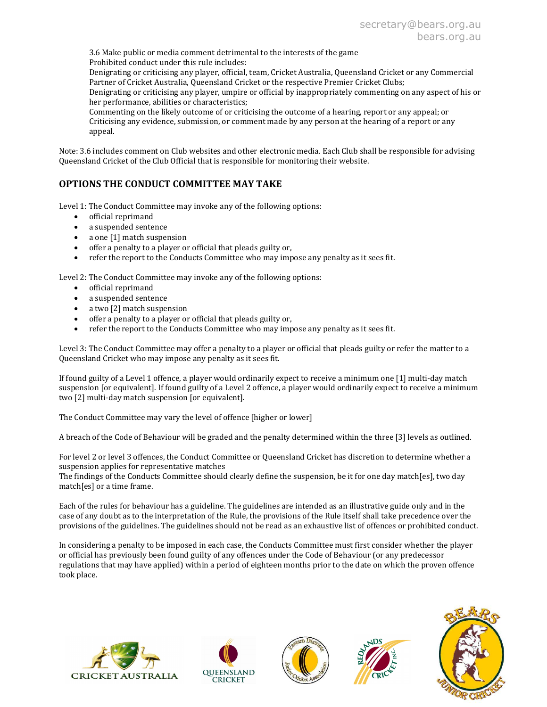3.6 Make public or media comment detrimental to the interests of the game

Prohibited conduct under this rule includes:

Denigrating or criticising any player, official, team, Cricket Australia, Queensland Cricket or any Commercial Partner of Cricket Australia, Queensland Cricket or the respective Premier Cricket Clubs;

Denigrating or criticising any player, umpire or official by inappropriately commenting on any aspect of his or her performance, abilities or characteristics;

Commenting on the likely outcome of or criticising the outcome of a hearing, report or any appeal; or Criticising any evidence, submission, or comment made by any person at the hearing of a report or any appeal.

Note: 3.6 includes comment on Club websites and other electronic media. Each Club shall be responsible for advising Queensland Cricket of the Club Official that is responsible for monitoring their website.

# OPTIONS THE CONDUCT COMMITTEE MAY TAKE

Level 1: The Conduct Committee may invoke any of the following options:

- official reprimand
- a suspended sentence
- a one [1] match suspension
- offer a penalty to a player or official that pleads guilty or,
- refer the report to the Conducts Committee who may impose any penalty as it sees fit.

Level 2: The Conduct Committee may invoke any of the following options:

- official reprimand
- a suspended sentence
- a two [2] match suspension
- offer a penalty to a player or official that pleads guilty or,
- refer the report to the Conducts Committee who may impose any penalty as it sees fit.

Level 3: The Conduct Committee may offer a penalty to a player or official that pleads guilty or refer the matter to a Queensland Cricket who may impose any penalty as it sees fit.

If found guilty of a Level 1 offence, a player would ordinarily expect to receive a minimum one [1] multi-day match suspension [or equivalent]. If found guilty of a Level 2 offence, a player would ordinarily expect to receive a minimum two [2] multi-day match suspension [or equivalent].

The Conduct Committee may vary the level of offence [higher or lower]

A breach of the Code of Behaviour will be graded and the penalty determined within the three [3] levels as outlined.

For level 2 or level 3 offences, the Conduct Committee or Queensland Cricket has discretion to determine whether a suspension applies for representative matches

The findings of the Conducts Committee should clearly define the suspension, be it for one day match[es], two day match[es] or a time frame.

Each of the rules for behaviour has a guideline. The guidelines are intended as an illustrative guide only and in the case of any doubt as to the interpretation of the Rule, the provisions of the Rule itself shall take precedence over the provisions of the guidelines. The guidelines should not be read as an exhaustive list of offences or prohibited conduct.

In considering a penalty to be imposed in each case, the Conducts Committee must first consider whether the player or official has previously been found guilty of any offences under the Code of Behaviour (or any predecessor regulations that may have applied) within a period of eighteen months prior to the date on which the proven offence took place.









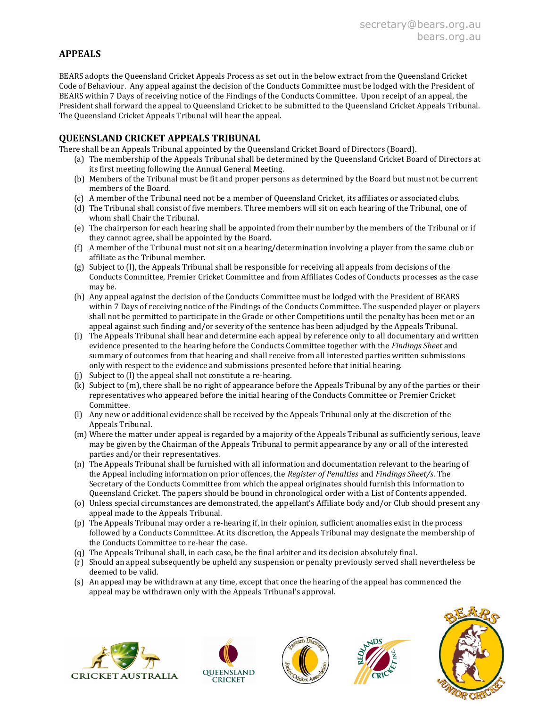## APPEALS

BEARS adopts the Queensland Cricket Appeals Process as set out in the below extract from the Queensland Cricket Code of Behaviour. Any appeal against the decision of the Conducts Committee must be lodged with the President of BEARS within 7 Days of receiving notice of the Findings of the Conducts Committee. Upon receipt of an appeal, the President shall forward the appeal to Queensland Cricket to be submitted to the Queensland Cricket Appeals Tribunal. The Queensland Cricket Appeals Tribunal will hear the appeal.

### QUEENSLAND CRICKET APPEALS TRIBUNAL

There shall be an Appeals Tribunal appointed by the Queensland Cricket Board of Directors (Board).

- (a) The membership of the Appeals Tribunal shall be determined by the Queensland Cricket Board of Directors at its first meeting following the Annual General Meeting.
- (b) Members of the Tribunal must be fit and proper persons as determined by the Board but must not be current members of the Board.
- (c) A member of the Tribunal need not be a member of Queensland Cricket, its affiliates or associated clubs.
- (d) The Tribunal shall consist of five members. Three members will sit on each hearing of the Tribunal, one of whom shall Chair the Tribunal.
- (e) The chairperson for each hearing shall be appointed from their number by the members of the Tribunal or if they cannot agree, shall be appointed by the Board.
- (f) A member of the Tribunal must not sit on a hearing/determination involving a player from the same club or affiliate as the Tribunal member.
- (g) Subject to (l), the Appeals Tribunal shall be responsible for receiving all appeals from decisions of the Conducts Committee, Premier Cricket Committee and from Affiliates Codes of Conducts processes as the case may be.
- (h) Any appeal against the decision of the Conducts Committee must be lodged with the President of BEARS within 7 Days of receiving notice of the Findings of the Conducts Committee. The suspended player or players shall not be permitted to participate in the Grade or other Competitions until the penalty has been met or an appeal against such finding and/or severity of the sentence has been adjudged by the Appeals Tribunal.
- (i) The Appeals Tribunal shall hear and determine each appeal by reference only to all documentary and written evidence presented to the hearing before the Conducts Committee together with the Findings Sheet and summary of outcomes from that hearing and shall receive from all interested parties written submissions only with respect to the evidence and submissions presented before that initial hearing.
- (j) Subject to (l) the appeal shall not constitute a re-hearing.
- (k) Subject to (m), there shall be no right of appearance before the Appeals Tribunal by any of the parties or their representatives who appeared before the initial hearing of the Conducts Committee or Premier Cricket Committee.
- (l) Any new or additional evidence shall be received by the Appeals Tribunal only at the discretion of the Appeals Tribunal.
- (m) Where the matter under appeal is regarded by a majority of the Appeals Tribunal as sufficiently serious, leave may be given by the Chairman of the Appeals Tribunal to permit appearance by any or all of the interested parties and/or their representatives.
- (n) The Appeals Tribunal shall be furnished with all information and documentation relevant to the hearing of the Appeal including information on prior offences, the Register of Penalties and Findings Sheet/s. The Secretary of the Conducts Committee from which the appeal originates should furnish this information to Queensland Cricket. The papers should be bound in chronological order with a List of Contents appended.
- (o) Unless special circumstances are demonstrated, the appellant's Affiliate body and/or Club should present any appeal made to the Appeals Tribunal.
- (p) The Appeals Tribunal may order a re-hearing if, in their opinion, sufficient anomalies exist in the process followed by a Conducts Committee. At its discretion, the Appeals Tribunal may designate the membership of the Conducts Committee to re-hear the case.
- (q) The Appeals Tribunal shall, in each case, be the final arbiter and its decision absolutely final.
- (r) Should an appeal subsequently be upheld any suspension or penalty previously served shall nevertheless be deemed to be valid.
- (s) An appeal may be withdrawn at any time, except that once the hearing of the appeal has commenced the appeal may be withdrawn only with the Appeals Tribunal's approval.